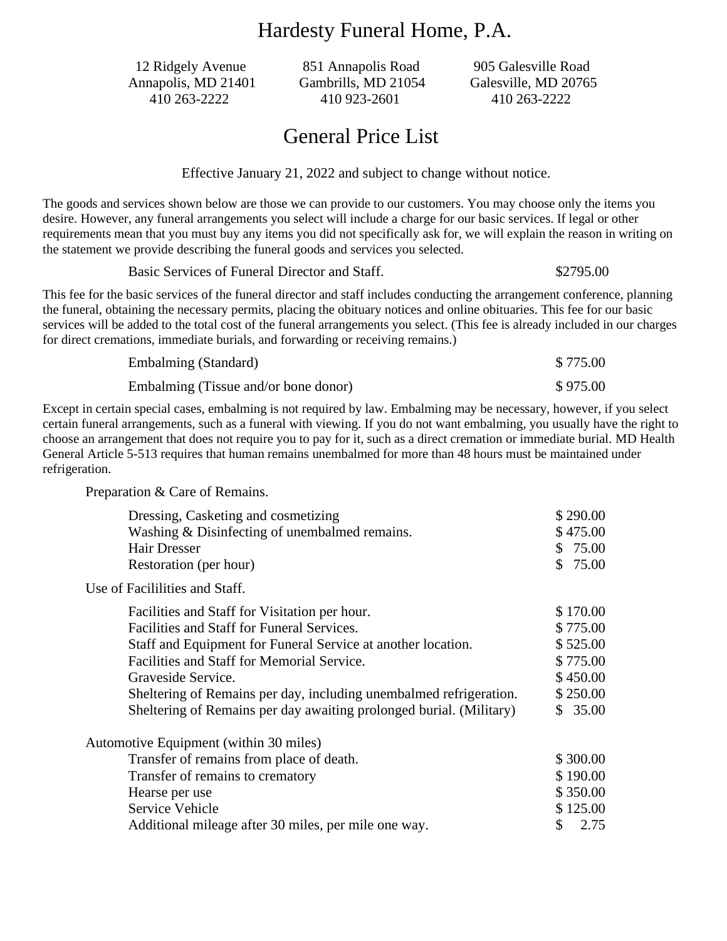### Hardesty Funeral Home, P.A.

12 Ridgely Avenue 851 Annapolis Road 905 Galesville Road

Annapolis, MD 21401 Gambrills, MD 21054 Galesville, MD 20765 410 263-2222 410 923-2601 410 263-2222

### General Price List

Effective January 21, 2022 and subject to change without notice.

The goods and services shown below are those we can provide to our customers. You may choose only the items you desire. However, any funeral arrangements you select will include a charge for our basic services. If legal or other requirements mean that you must buy any items you did not specifically ask for, we will explain the reason in writing on the statement we provide describing the funeral goods and services you selected.

Basic Services of Funeral Director and Staff.  $$3795.00$ 

This fee for the basic services of the funeral director and staff includes conducting the arrangement conference, planning the funeral, obtaining the necessary permits, placing the obituary notices and online obituaries. This fee for our basic services will be added to the total cost of the funeral arrangements you select. (This fee is already included in our charges for direct cremations, immediate burials, and forwarding or receiving remains.)

| Embalming (Standard)                 | \$775.00 |
|--------------------------------------|----------|
| Embalming (Tissue and/or bone donor) | \$975.00 |

Except in certain special cases, embalming is not required by law. Embalming may be necessary, however, if you select certain funeral arrangements, such as a funeral with viewing. If you do not want embalming, you usually have the right to choose an arrangement that does not require you to pay for it, such as a direct cremation or immediate burial. MD Health General Article 5-513 requires that human remains unembalmed for more than 48 hours must be maintained under refrigeration.

Preparation & Care of Remains.

| Dressing, Casketing and cosmetizing                                 | \$290.00   |
|---------------------------------------------------------------------|------------|
| Washing & Disinfecting of unembalmed remains.                       | \$475.00   |
| <b>Hair Dresser</b>                                                 | \$75.00    |
| Restoration (per hour)                                              | \$75.00    |
| Use of Facililities and Staff.                                      |            |
| Facilities and Staff for Visitation per hour.                       | \$170.00   |
| Facilities and Staff for Funeral Services.                          | \$775.00   |
| Staff and Equipment for Funeral Service at another location.        | \$525.00   |
| Facilities and Staff for Memorial Service.                          | \$775.00   |
| Graveside Service.                                                  | \$450.00   |
| Sheltering of Remains per day, including unembalmed refrigeration.  | \$250.00   |
| Sheltering of Remains per day awaiting prolonged burial. (Military) | \$35.00    |
| Automotive Equipment (within 30 miles)                              |            |
| Transfer of remains from place of death.                            | \$300.00   |
| Transfer of remains to crematory                                    | \$190.00   |
| Hearse per use                                                      | \$350.00   |
| Service Vehicle                                                     | \$125.00   |
| Additional mileage after 30 miles, per mile one way.                | 2.75<br>\$ |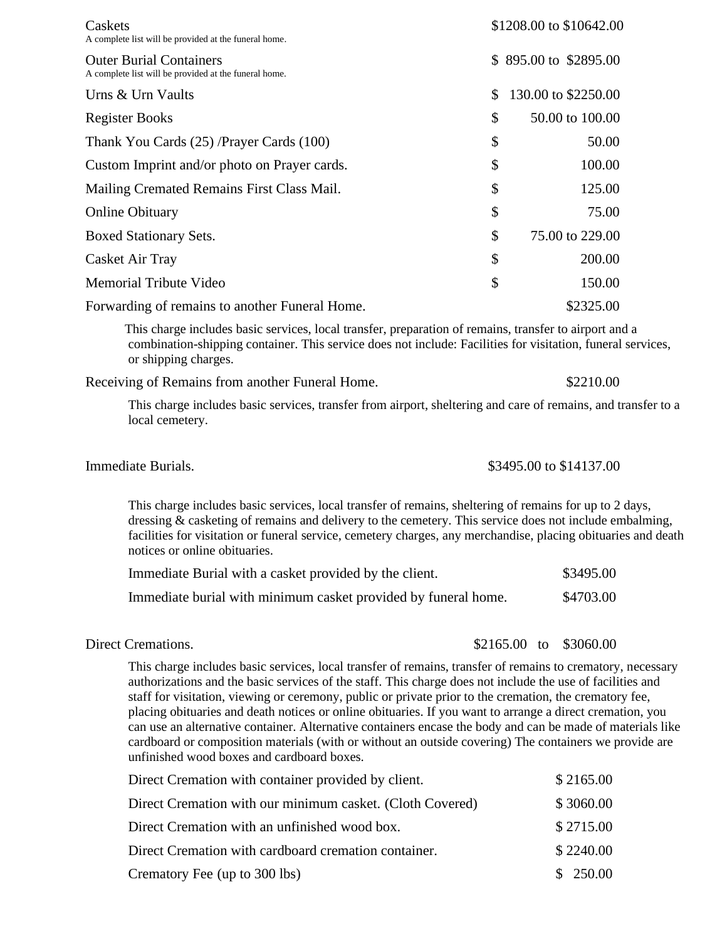| Caskets<br>A complete list will be provided at the funeral home.                        | \$1208.00 to \$10642.00 |                       |
|-----------------------------------------------------------------------------------------|-------------------------|-----------------------|
| <b>Outer Burial Containers</b><br>A complete list will be provided at the funeral home. |                         | \$895.00 to \$2895.00 |
| Urns & Urn Vaults                                                                       | \$                      | 130.00 to \$2250.00   |
| <b>Register Books</b>                                                                   | \$                      | 50.00 to 100.00       |
| Thank You Cards (25) /Prayer Cards (100)                                                | \$                      | 50.00                 |
| Custom Imprint and/or photo on Prayer cards.                                            | \$                      | 100.00                |
| Mailing Cremated Remains First Class Mail.                                              | \$                      | 125.00                |
| <b>Online Obituary</b>                                                                  | \$                      | 75.00                 |
| Boxed Stationary Sets.                                                                  | \$                      | 75.00 to 229.00       |
| Casket Air Tray                                                                         | \$                      | 200.00                |
| <b>Memorial Tribute Video</b>                                                           | \$                      | 150.00                |
| Forwarding of remains to another Funeral Home.                                          |                         | \$2325.00             |

 This charge includes basic services, local transfer, preparation of remains, transfer to airport and a combination-shipping container. This service does not include: Facilities for visitation, funeral services, or shipping charges.

Receiving of Remains from another Funeral Home.  $$2210.00$ 

This charge includes basic services, transfer from airport, sheltering and care of remains, and transfer to a local cemetery.

### **Immediate Burials.**  $$3495.00$  to \$14137.00

This charge includes basic services, local transfer of remains, sheltering of remains for up to 2 days, dressing  $\&$  casketing of remains and delivery to the cemetery. This service does not include embalming, facilities for visitation or funeral service, cemetery charges, any merchandise, placing obituaries and death notices or online obituaries.

| Immediate Burial with a casket provided by the client.         | \$3495.00 |
|----------------------------------------------------------------|-----------|
| Immediate burial with minimum casket provided by funeral home. | \$4703.00 |

Direct Cremations.  $$2165.00$  to \$3060.00

This charge includes basic services, local transfer of remains, transfer of remains to crematory, necessary authorizations and the basic services of the staff. This charge does not include the use of facilities and staff for visitation, viewing or ceremony, public or private prior to the cremation, the crematory fee, placing obituaries and death notices or online obituaries. If you want to arrange a direct cremation, you can use an alternative container. Alternative containers encase the body and can be made of materials like cardboard or composition materials (with or without an outside covering) The containers we provide are unfinished wood boxes and cardboard boxes.

| Direct Cremation with container provided by client.       | \$2165.00 |
|-----------------------------------------------------------|-----------|
| Direct Cremation with our minimum casket. (Cloth Covered) | \$3060.00 |
| Direct Cremation with an unfinished wood box.             | \$2715.00 |
| Direct Cremation with cardboard cremation container.      | \$2240.00 |
| Crematory Fee (up to 300 lbs)                             | \$250.00  |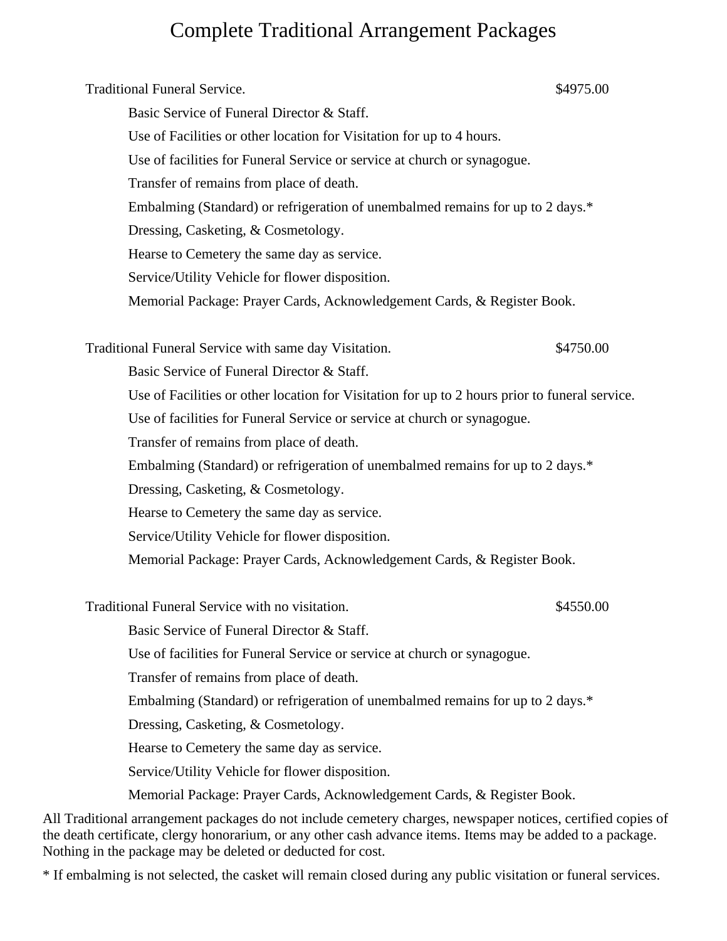## Complete Traditional Arrangement Packages

Traditional Funeral Service. \$4975.00 Basic Service of Funeral Director & Staff. Use of Facilities or other location for Visitation for up to 4 hours. Use of facilities for Funeral Service or service at church or synagogue. Transfer of remains from place of death. Embalming (Standard) or refrigeration of unembalmed remains for up to 2 days.\* Dressing, Casketing, & Cosmetology. Hearse to Cemetery the same day as service. Service/Utility Vehicle for flower disposition. Memorial Package: Prayer Cards, Acknowledgement Cards, & Register Book. Traditional Funeral Service with same day Visitation.  $$4750.00$ Basic Service of Funeral Director & Staff. Use of Facilities or other location for Visitation for up to 2 hours prior to funeral service. Use of facilities for Funeral Service or service at church or synagogue. Transfer of remains from place of death. Embalming (Standard) or refrigeration of unembalmed remains for up to 2 days.\* Dressing, Casketing, & Cosmetology. Hearse to Cemetery the same day as service. Service/Utility Vehicle for flower disposition. Memorial Package: Prayer Cards, Acknowledgement Cards, & Register Book. Traditional Funeral Service with no visitation. The metal same states of the state of the state of the state of the state of the state of the state of the state of the state of the state of the state of the state of the st Basic Service of Funeral Director & Staff. Use of facilities for Funeral Service or service at church or synagogue. Transfer of remains from place of death. Embalming (Standard) or refrigeration of unembalmed remains for up to 2 days.\* Dressing, Casketing, & Cosmetology. Hearse to Cemetery the same day as service. Service/Utility Vehicle for flower disposition. Memorial Package: Prayer Cards, Acknowledgement Cards, & Register Book.

All Traditional arrangement packages do not include cemetery charges, newspaper notices, certified copies of the death certificate, clergy honorarium, or any other cash advance items. Items may be added to a package. Nothing in the package may be deleted or deducted for cost.

\* If embalming is not selected, the casket will remain closed during any public visitation or funeral services.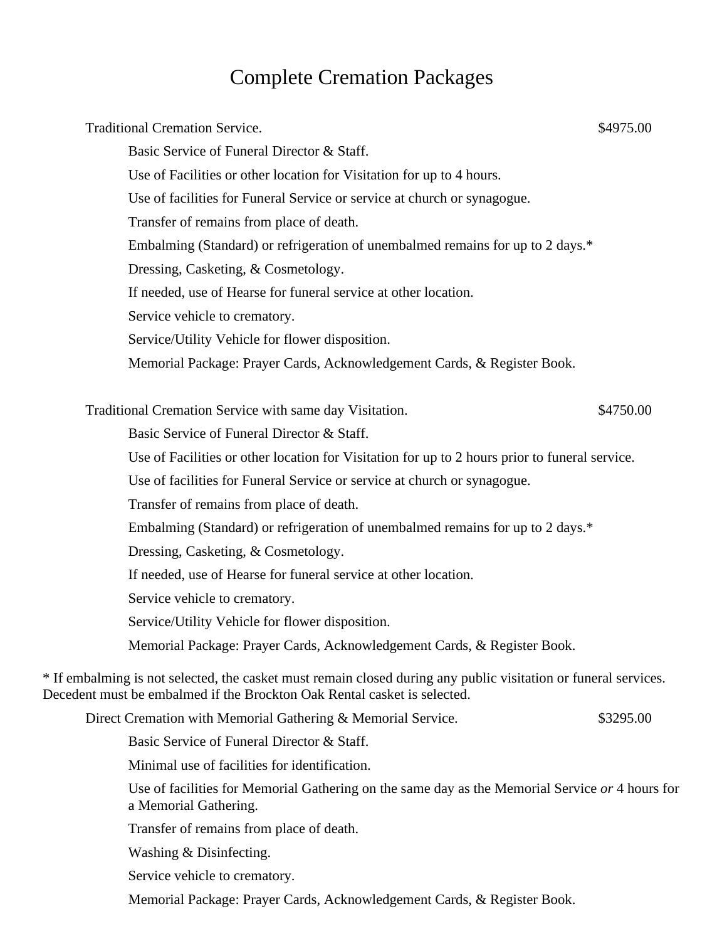# Complete Cremation Packages

| <b>Traditional Cremation Service.</b>                                                                                                                                                       | \$4975.00 |
|---------------------------------------------------------------------------------------------------------------------------------------------------------------------------------------------|-----------|
| Basic Service of Funeral Director & Staff.                                                                                                                                                  |           |
| Use of Facilities or other location for Visitation for up to 4 hours.                                                                                                                       |           |
| Use of facilities for Funeral Service or service at church or synagogue.                                                                                                                    |           |
| Transfer of remains from place of death.                                                                                                                                                    |           |
| Embalming (Standard) or refrigeration of unembalmed remains for up to 2 days.*                                                                                                              |           |
| Dressing, Casketing, & Cosmetology.                                                                                                                                                         |           |
| If needed, use of Hearse for funeral service at other location.                                                                                                                             |           |
| Service vehicle to crematory.                                                                                                                                                               |           |
| Service/Utility Vehicle for flower disposition.                                                                                                                                             |           |
| Memorial Package: Prayer Cards, Acknowledgement Cards, & Register Book.                                                                                                                     |           |
| Traditional Cremation Service with same day Visitation.                                                                                                                                     | \$4750.00 |
| Basic Service of Funeral Director & Staff.                                                                                                                                                  |           |
| Use of Facilities or other location for Visitation for up to 2 hours prior to funeral service.                                                                                              |           |
| Use of facilities for Funeral Service or service at church or synagogue.                                                                                                                    |           |
| Transfer of remains from place of death.                                                                                                                                                    |           |
| Embalming (Standard) or refrigeration of unembalmed remains for up to 2 days.*                                                                                                              |           |
| Dressing, Casketing, & Cosmetology.                                                                                                                                                         |           |
| If needed, use of Hearse for funeral service at other location.                                                                                                                             |           |
| Service vehicle to crematory.                                                                                                                                                               |           |
| Service/Utility Vehicle for flower disposition.                                                                                                                                             |           |
| Memorial Package: Prayer Cards, Acknowledgement Cards, & Register Book.                                                                                                                     |           |
| * If embalming is not selected, the casket must remain closed during any public visitation or funeral services.<br>Decedent must be embalmed if the Brockton Oak Rental casket is selected. |           |
| Direct Cremation with Memorial Gathering & Memorial Service.                                                                                                                                | \$3295.00 |
| Basic Service of Funeral Director & Staff.                                                                                                                                                  |           |
| Minimal use of facilities for identification.                                                                                                                                               |           |
| Use of facilities for Memorial Gathering on the same day as the Memorial Service or 4 hours for<br>a Memorial Gathering.                                                                    |           |
| Transfer of remains from place of death.                                                                                                                                                    |           |
| Washing & Disinfecting.                                                                                                                                                                     |           |
| Service vehicle to crematory.                                                                                                                                                               |           |
|                                                                                                                                                                                             |           |

Memorial Package: Prayer Cards, Acknowledgement Cards, & Register Book.